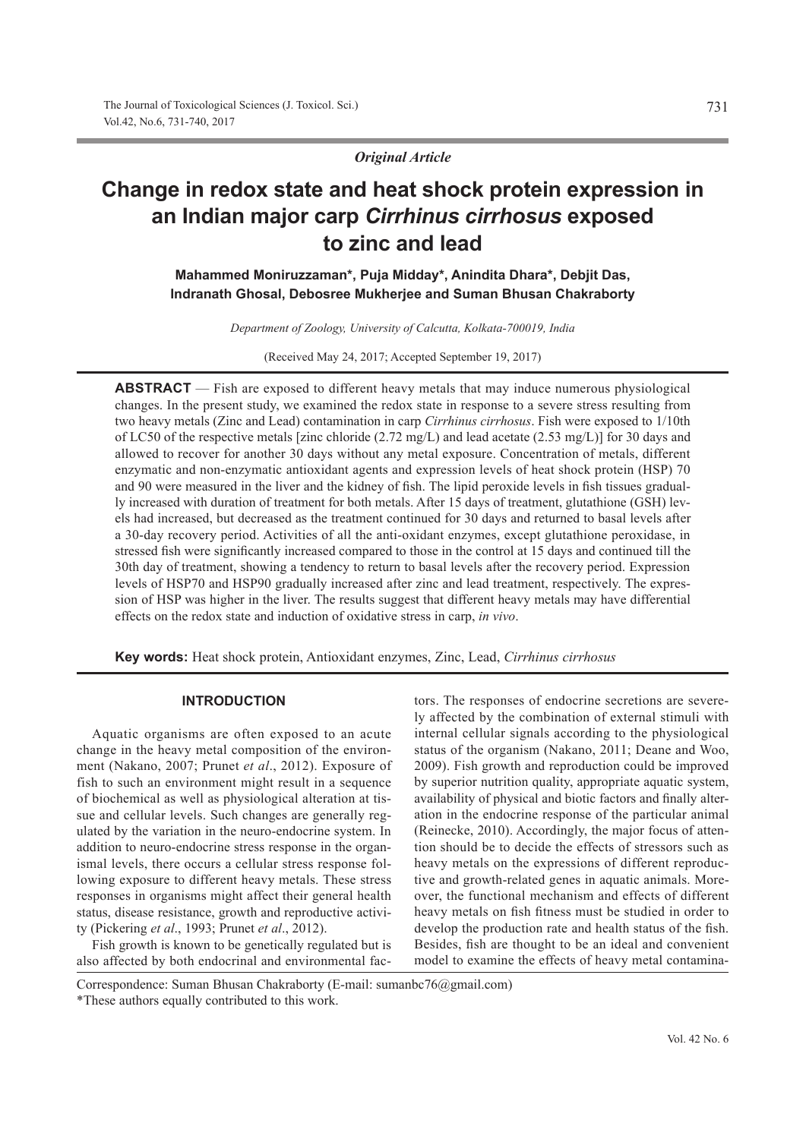# *Original Article*

# **Change in redox state and heat shock protein expression in an Indian major carp** *Cirrhinus cirrhosus* **exposed to zinc and lead**

**Mahammed Moniruzzaman\*, Puja Midday\*, Anindita Dhara\*, Debjit Das, Indranath Ghosal, Debosree Mukherjee and Suman Bhusan Chakraborty**

*Department of Zoology, University of Calcutta, Kolkata-700019, India*

(Received May 24, 2017; Accepted September 19, 2017)

**ABSTRACT** — Fish are exposed to different heavy metals that may induce numerous physiological changes. In the present study, we examined the redox state in response to a severe stress resulting from two heavy metals (Zinc and Lead) contamination in carp *Cirrhinus cirrhosus*. Fish were exposed to 1/10th of LC50 of the respective metals [zinc chloride (2.72 mg/L) and lead acetate (2.53 mg/L)] for 30 days and allowed to recover for another 30 days without any metal exposure. Concentration of metals, different enzymatic and non-enzymatic antioxidant agents and expression levels of heat shock protein (HSP) 70 and 90 were measured in the liver and the kidney of fish. The lipid peroxide levels in fish tissues gradually increased with duration of treatment for both metals. After 15 days of treatment, glutathione (GSH) levels had increased, but decreased as the treatment continued for 30 days and returned to basal levels after a 30-day recovery period. Activities of all the anti-oxidant enzymes, except glutathione peroxidase, in stressed fish were significantly increased compared to those in the control at 15 days and continued till the 30th day of treatment, showing a tendency to return to basal levels after the recovery period. Expression levels of HSP70 and HSP90 gradually increased after zinc and lead treatment, respectively. The expression of HSP was higher in the liver. The results suggest that different heavy metals may have differential effects on the redox state and induction of oxidative stress in carp, *in vivo*.

**Key words:** Heat shock protein, Antioxidant enzymes, Zinc, Lead, *Cirrhinus cirrhosus*

## **INTRODUCTION**

Aquatic organisms are often exposed to an acute change in the heavy metal composition of the environment (Nakano, 2007; Prunet *et al*., 2012). Exposure of fish to such an environment might result in a sequence of biochemical as well as physiological alteration at tissue and cellular levels. Such changes are generally regulated by the variation in the neuro-endocrine system. In addition to neuro-endocrine stress response in the organismal levels, there occurs a cellular stress response following exposure to different heavy metals. These stress responses in organisms might affect their general health status, disease resistance, growth and reproductive activity (Pickering *et al*., 1993; Prunet *et al*., 2012).

Fish growth is known to be genetically regulated but is also affected by both endocrinal and environmental factors. The responses of endocrine secretions are severely affected by the combination of external stimuli with internal cellular signals according to the physiological status of the organism (Nakano, 2011; Deane and Woo, 2009). Fish growth and reproduction could be improved by superior nutrition quality, appropriate aquatic system, availability of physical and biotic factors and finally alteration in the endocrine response of the particular animal (Reinecke, 2010). Accordingly, the major focus of attention should be to decide the effects of stressors such as heavy metals on the expressions of different reproductive and growth-related genes in aquatic animals. Moreover, the functional mechanism and effects of different heavy metals on fish fitness must be studied in order to develop the production rate and health status of the fish. Besides, fish are thought to be an ideal and convenient model to examine the effects of heavy metal contamina-

Correspondence: Suman Bhusan Chakraborty (E-mail: sumanbc76@gmail.com)

<sup>\*</sup>These authors equally contributed to this work.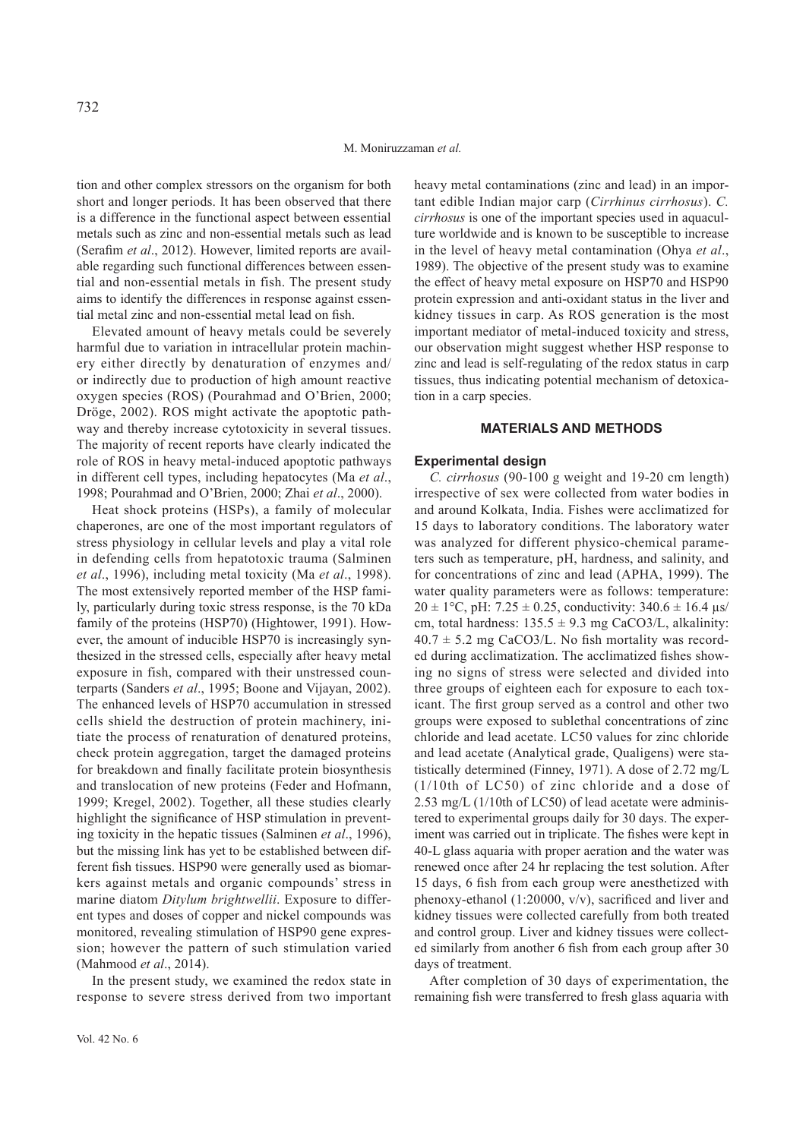tion and other complex stressors on the organism for both short and longer periods. It has been observed that there is a difference in the functional aspect between essential metals such as zinc and non-essential metals such as lead (Serafim *et al*., 2012). However, limited reports are available regarding such functional differences between essential and non-essential metals in fish. The present study aims to identify the differences in response against essential metal zinc and non-essential metal lead on fish.

Elevated amount of heavy metals could be severely harmful due to variation in intracellular protein machinery either directly by denaturation of enzymes and/ or indirectly due to production of high amount reactive oxygen species (ROS) (Pourahmad and O'Brien, 2000; Dröge, 2002). ROS might activate the apoptotic pathway and thereby increase cytotoxicity in several tissues. The majority of recent reports have clearly indicated the role of ROS in heavy metal-induced apoptotic pathways in different cell types, including hepatocytes (Ma *et al*., 1998; Pourahmad and O'Brien, 2000; Zhai *et al*., 2000).

Heat shock proteins (HSPs), a family of molecular chaperones, are one of the most important regulators of stress physiology in cellular levels and play a vital role in defending cells from hepatotoxic trauma (Salminen *et al*., 1996), including metal toxicity (Ma *et al*., 1998). The most extensively reported member of the HSP family, particularly during toxic stress response, is the 70 kDa family of the proteins (HSP70) (Hightower, 1991). However, the amount of inducible HSP70 is increasingly synthesized in the stressed cells, especially after heavy metal exposure in fish, compared with their unstressed counterparts (Sanders *et al*., 1995; Boone and Vijayan, 2002). The enhanced levels of HSP70 accumulation in stressed cells shield the destruction of protein machinery, initiate the process of renaturation of denatured proteins, check protein aggregation, target the damaged proteins for breakdown and finally facilitate protein biosynthesis and translocation of new proteins (Feder and Hofmann, 1999; Kregel, 2002). Together, all these studies clearly highlight the significance of HSP stimulation in preventing toxicity in the hepatic tissues (Salminen *et al*., 1996), but the missing link has yet to be established between different fish tissues. HSP90 were generally used as biomarkers against metals and organic compounds' stress in marine diatom *Ditylum brightwellii*. Exposure to different types and doses of copper and nickel compounds was monitored, revealing stimulation of HSP90 gene expression; however the pattern of such stimulation varied (Mahmood *et al*., 2014).

In the present study, we examined the redox state in response to severe stress derived from two important heavy metal contaminations (zinc and lead) in an important edible Indian major carp (*Cirrhinus cirrhosus*). *C. cirrhosus* is one of the important species used in aquaculture worldwide and is known to be susceptible to increase in the level of heavy metal contamination (Ohya *et al*., 1989). The objective of the present study was to examine the effect of heavy metal exposure on HSP70 and HSP90 protein expression and anti-oxidant status in the liver and kidney tissues in carp. As ROS generation is the most important mediator of metal-induced toxicity and stress, our observation might suggest whether HSP response to zinc and lead is self-regulating of the redox status in carp tissues, thus indicating potential mechanism of detoxication in a carp species.

## **MATERIALS AND METHODS**

#### **Experimental design**

*C. cirrhosus* (90-100 g weight and 19-20 cm length) irrespective of sex were collected from water bodies in and around Kolkata, India. Fishes were acclimatized for 15 days to laboratory conditions. The laboratory water was analyzed for different physico-chemical parameters such as temperature, pH, hardness, and salinity, and for concentrations of zinc and lead (APHA, 1999). The water quality parameters were as follows: temperature:  $20 \pm 1$ °C, pH: 7.25  $\pm$  0.25, conductivity: 340.6  $\pm$  16.4 µs/ cm, total hardness:  $135.5 \pm 9.3$  mg CaCO3/L, alkalinity:  $40.7 \pm 5.2$  mg CaCO3/L. No fish mortality was recorded during acclimatization. The acclimatized fishes showing no signs of stress were selected and divided into three groups of eighteen each for exposure to each toxicant. The first group served as a control and other two groups were exposed to sublethal concentrations of zinc chloride and lead acetate. LC50 values for zinc chloride and lead acetate (Analytical grade, Qualigens) were statistically determined (Finney, 1971). A dose of 2.72 mg/L (1/10th of LC50) of zinc chloride and a dose of 2.53 mg/L (1/10th of LC50) of lead acetate were administered to experimental groups daily for 30 days. The experiment was carried out in triplicate. The fishes were kept in 40-L glass aquaria with proper aeration and the water was renewed once after 24 hr replacing the test solution. After 15 days, 6 fish from each group were anesthetized with phenoxy-ethanol (1:20000, v/v), sacrificed and liver and kidney tissues were collected carefully from both treated and control group. Liver and kidney tissues were collected similarly from another 6 fish from each group after 30 days of treatment.

After completion of 30 days of experimentation, the remaining fish were transferred to fresh glass aquaria with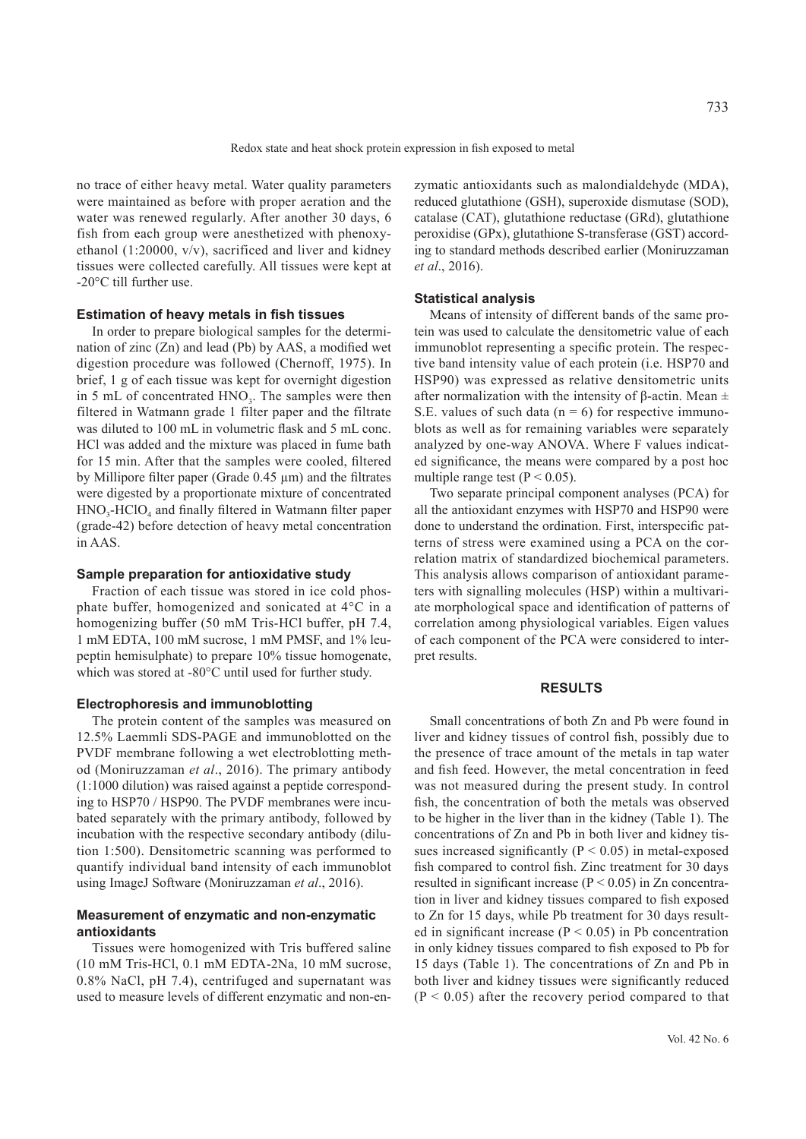no trace of either heavy metal. Water quality parameters were maintained as before with proper aeration and the water was renewed regularly. After another 30 days, 6 fish from each group were anesthetized with phenoxyethanol (1:20000, v/v), sacrificed and liver and kidney tissues were collected carefully. All tissues were kept at -20°C till further use.

### **Estimation of heavy metals in fish tissues**

In order to prepare biological samples for the determination of zinc (Zn) and lead (Pb) by AAS, a modified wet digestion procedure was followed (Chernoff, 1975). In brief, 1 g of each tissue was kept for overnight digestion in 5 mL of concentrated  $HNO<sub>3</sub>$ . The samples were then filtered in Watmann grade 1 filter paper and the filtrate was diluted to 100 mL in volumetric flask and 5 mL conc. HCl was added and the mixture was placed in fume bath for 15 min. After that the samples were cooled, filtered by Millipore filter paper (Grade 0.45 μm) and the filtrates were digested by a proportionate mixture of concentrated  $HNO<sub>3</sub>-HClO<sub>4</sub>$  and finally filtered in Watmann filter paper (grade-42) before detection of heavy metal concentration in AAS.

## **Sample preparation for antioxidative study**

Fraction of each tissue was stored in ice cold phosphate buffer, homogenized and sonicated at 4°C in a homogenizing buffer (50 mM Tris-HCl buffer, pH 7.4, 1 mM EDTA, 100 mM sucrose, 1 mM PMSF, and 1% leupeptin hemisulphate) to prepare 10% tissue homogenate, which was stored at -80°C until used for further study.

#### **Electrophoresis and immunoblotting**

The protein content of the samples was measured on 12.5% Laemmli SDS-PAGE and immunoblotted on the PVDF membrane following a wet electroblotting method (Moniruzzaman *et al*., 2016). The primary antibody (1:1000 dilution) was raised against a peptide corresponding to HSP70 / HSP90. The PVDF membranes were incubated separately with the primary antibody, followed by incubation with the respective secondary antibody (dilution 1:500). Densitometric scanning was performed to quantify individual band intensity of each immunoblot using ImageJ Software (Moniruzzaman *et al*., 2016).

# **Measurement of enzymatic and non-enzymatic antioxidants**

Tissues were homogenized with Tris buffered saline (10 mM Tris-HCl, 0.1 mM EDTA-2Na, 10 mM sucrose, 0.8% NaCl, pH 7.4), centrifuged and supernatant was used to measure levels of different enzymatic and non-enzymatic antioxidants such as malondialdehyde (MDA), reduced glutathione (GSH), superoxide dismutase (SOD), catalase (CAT), glutathione reductase (GRd), glutathione peroxidise (GPx), glutathione S-transferase (GST) according to standard methods described earlier (Moniruzzaman *et al*., 2016).

#### **Statistical analysis**

Means of intensity of different bands of the same protein was used to calculate the densitometric value of each immunoblot representing a specific protein. The respective band intensity value of each protein (i.e. HSP70 and HSP90) was expressed as relative densitometric units after normalization with the intensity of β-actin. Mean  $±$ S.E. values of such data ( $n = 6$ ) for respective immunoblots as well as for remaining variables were separately analyzed by one-way ANOVA. Where F values indicated significance, the means were compared by a post hoc multiple range test ( $P < 0.05$ ).

Two separate principal component analyses (PCA) for all the antioxidant enzymes with HSP70 and HSP90 were done to understand the ordination. First, interspecific patterns of stress were examined using a PCA on the correlation matrix of standardized biochemical parameters. This analysis allows comparison of antioxidant parameters with signalling molecules (HSP) within a multivariate morphological space and identification of patterns of correlation among physiological variables. Eigen values of each component of the PCA were considered to interpret results.

# **RESULTS**

Small concentrations of both Zn and Pb were found in liver and kidney tissues of control fish, possibly due to the presence of trace amount of the metals in tap water and fish feed. However, the metal concentration in feed was not measured during the present study. In control fish, the concentration of both the metals was observed to be higher in the liver than in the kidney (Table 1). The concentrations of Zn and Pb in both liver and kidney tissues increased significantly ( $P < 0.05$ ) in metal-exposed fish compared to control fish. Zinc treatment for 30 days resulted in significant increase ( $P < 0.05$ ) in Zn concentration in liver and kidney tissues compared to fish exposed to Zn for 15 days, while Pb treatment for 30 days resulted in significant increase ( $P < 0.05$ ) in Pb concentration in only kidney tissues compared to fish exposed to Pb for 15 days (Table 1). The concentrations of Zn and Pb in both liver and kidney tissues were significantly reduced  $(P < 0.05)$  after the recovery period compared to that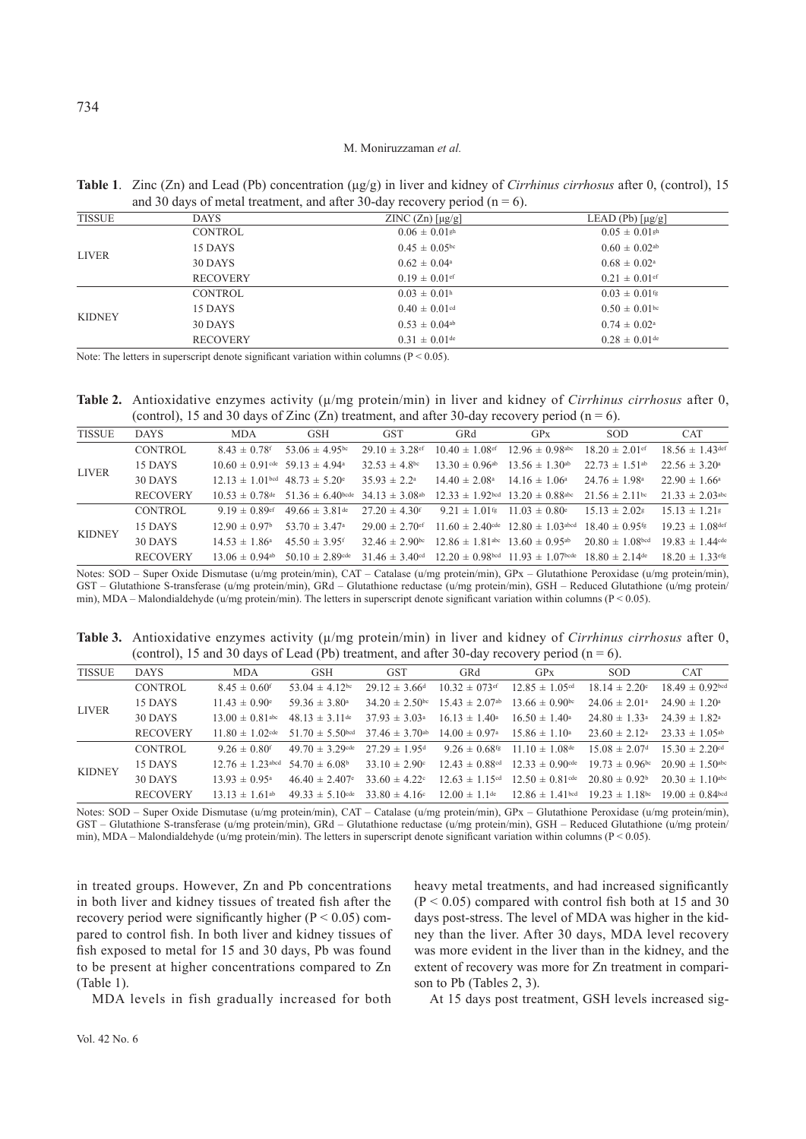**Table 1**. Zinc (Zn) and Lead (Pb) concentration (μg/g) in liver and kidney of *Cirrhinus cirrhosus* after 0, (control), 15 and 30 days of metal treatment, and after 30-day recovery period ( $n = 6$ ).

|               |                 | . .                           |                                   |
|---------------|-----------------|-------------------------------|-----------------------------------|
| <b>TISSUE</b> | <b>DAYS</b>     | $ZINC (Zn)$ [µg/g]            | LEAD (Pb) $\lceil \mu g/g \rceil$ |
| <b>LIVER</b>  | <b>CONTROL</b>  | $0.06 \pm 0.01$ <sup>gh</sup> | $0.05 \pm 0.01$ <sup>gh</sup>     |
|               | 15 DAYS         | $0.45 \pm 0.05$ bc            | $0.60 \pm 0.02$ <sup>ab</sup>     |
|               | 30 DAYS         | $0.62 \pm 0.04^{\circ}$       | $0.68 \pm 0.02^{\circ}$           |
|               | <b>RECOVERY</b> | $0.19 \pm 0.01$ ef            | $0.21 \pm 0.01$ ef                |
|               | <b>CONTROL</b>  | $0.03 \pm 0.01$ <sup>h</sup>  | $0.03 \pm 0.01$ <sup>fg</sup>     |
|               | 15 DAYS         | $0.40 \pm 0.01$ <sup>cd</sup> | $0.50 \pm 0.01$ bc                |
| <b>KIDNEY</b> | 30 DAYS         | $0.53 \pm 0.04$ <sup>ab</sup> | $0.74 \pm 0.02^{\circ}$           |
|               | <b>RECOVERY</b> | $0.31 \pm 0.01$ de            | $0.28 \pm 0.01$ de                |
|               |                 |                               |                                   |

Note: The letters in superscript denote significant variation within columns ( $P < 0.05$ ).

**Table 2.** Antioxidative enzymes activity (μ/mg protein/min) in liver and kidney of *Cirrhinus cirrhosus* after 0, (control), 15 and 30 days of Zinc (Zn) treatment, and after 30-day recovery period ( $n = 6$ ).

| <b>TISSUE</b> | <b>DAYS</b>     | <b>MDA</b>                              | <b>GSH</b>                     | <b>GST</b>                     | GRd                                                         | <b>GPx</b>                                                                                                                     | <b>SOD</b>                     | <b>CAT</b>                      |
|---------------|-----------------|-----------------------------------------|--------------------------------|--------------------------------|-------------------------------------------------------------|--------------------------------------------------------------------------------------------------------------------------------|--------------------------------|---------------------------------|
| <b>LIVER</b>  | <b>CONTROL</b>  | $8.43 \pm 0.78$ f                       | 53.06 $\pm$ 4.95 <sup>bc</sup> | $29.10 \pm 3.28$ ef            | $10.40 \pm 1.08$ ef                                         | $12.96 \pm 0.98$ abc                                                                                                           | $18.20 \pm 2.01$ ef            | $18.56 \pm 1.43$ def            |
|               | 15 DAYS         | $10.60 \pm 0.91$ cde 59.13 $\pm$ 4.94a  |                                | $32.53 \pm 4.8$ bc             | $13.30 \pm 0.96$ ab $13.56 \pm 1.30$ ab                     |                                                                                                                                | $22.73 \pm 1.51$ <sup>ab</sup> | $22.56 \pm 3.20^{\circ}$        |
|               | 30 DAYS         | $12.13 \pm 1.01$ bcd $48.73 \pm 5.20$ e |                                | $35.93 \pm 2.2^{\circ}$        | $14.40 \pm 2.08^{\circ}$                                    | $14.16 \pm 1.06^{\circ}$                                                                                                       | $24.76 \pm 1.98^{\circ}$       | $22.90 \pm 1.66^{\circ}$        |
|               | <b>RECOVERY</b> | $10.53 \pm 0.78$ de                     | $51.36 \pm 6.40$ bcde          | $34.13 \pm 3.08$ <sup>ab</sup> | $12.33 \pm 1.92$ bed $13.20 \pm 0.88$ abe                   |                                                                                                                                | $21.56 \pm 2.11$ bc            | $21.33 \pm 2.03$ <sup>abc</sup> |
| <b>KIDNEY</b> | CONTROL         | 9.19 $\pm$ 0.89 $\text{ef}$             | $49.66 \pm 3.81$ de            | $27.20 \pm 4.30$ <sup>e</sup>  | $9.21 \pm 1.01$ <sup>fg</sup> $11.03 \pm 0.80$ <sup>e</sup> |                                                                                                                                | $15.13 \pm 2.02$               | $15.13 \pm 1.21$                |
|               | 15 DAYS         | $12.90 \pm 0.97$                        | 53.70 $\pm$ 3.47 <sup>a</sup>  | $29.00 \pm 2.70$ ef            |                                                             | $11.60 \pm 2.40$ cde $12.80 \pm 1.03$ abcd                                                                                     | $18.40 \pm 0.95$ <sup>fg</sup> | $19.23 \pm 1.08$ def            |
|               | 30 DAYS         | $14.53 \pm 1.86^{\circ}$                | $45.50 \pm 3.95$ <sup>e</sup>  | $32.46 \pm 2.90$ bc            | $12.86 \pm 1.81$ abc $13.60 \pm 0.95$ ab                    |                                                                                                                                | $20.80 \pm 1.08$ bcd           | $19.83 \pm 1.44$ cde            |
|               | <b>RECOVERY</b> | 13.06 $\pm$ 0.94 <sup>ab</sup>          | 50.10 $\pm$ 2.89 cde           |                                |                                                             | 31.46 $\pm$ 3.40 <sup>cd</sup> 12.20 $\pm$ 0.98 <sup>bcd</sup> 11.93 $\pm$ 1.07 <sup>bcde</sup> 18.80 $\pm$ 2.14 <sup>de</sup> |                                | $18.20 \pm 1.33$ <sup>efg</sup> |

Notes: SOD – Super Oxide Dismutase (u/mg protein/min), CAT – Catalase (u/mg protein/min), GPx – Glutathione Peroxidase (u/mg protein/min), GST – Glutathione S-transferase (u/mg protein/min), GRd – Glutathione reductase (u/mg protein/min), GSH – Reduced Glutathione (u/mg protein/ min), MDA – Malondialdehyde (u/mg protein/min). The letters in superscript denote significant variation within columns (P < 0.05).

**Table 3.** Antioxidative enzymes activity (μ/mg protein/min) in liver and kidney of *Cirrhinus cirrhosus* after 0, (control), 15 and 30 days of Lead (Pb) treatment, and after 30-day recovery period ( $n = 6$ ).

| <b>TISSUE</b> | <b>DAYS</b>     | <b>MDA</b>                          | <b>GSH</b>                      | <b>GST</b>                     | GRd                            | GPx                             | <b>SOD</b>                    | <b>CAT</b>                     |
|---------------|-----------------|-------------------------------------|---------------------------------|--------------------------------|--------------------------------|---------------------------------|-------------------------------|--------------------------------|
| <b>LIVER</b>  | <b>CONTROL</b>  | $8.45 \pm 0.60$ <sup>e</sup>        | 53.04 $\pm$ 4.12 <sup>bc</sup>  | $29.12 \pm 3.66$ d             | $10.32 \pm 0.73$ ef            | $12.85 \pm 1.05$ <sup>cd</sup>  | $18.14 \pm 2.20$              | $18.49 \pm 0.92$ bed           |
|               | 15 DAYS         | $11.43 \pm 0.90$ <sup>e</sup>       | $59.36 \pm 3.80^{\circ}$        | $34.20 \pm 2.50$ bc            | $15.43 \pm 2.07$ <sup>ab</sup> | $13.66 \pm 0.90$ bc             | $24.06 \pm 2.01^{\circ}$      | $24.90 \pm 1.20^{\circ}$       |
|               | 30 DAYS         | $13.00 \pm 0.81$ <sup>abc</sup>     | $48.13 \pm 3.11$ de             | $37.93 \pm 3.03^{\circ}$       | $16.13 \pm 1.40^{\circ}$       | $16.50 \pm 1.40^{\circ}$        | $24.80 \pm 1.33$ <sup>a</sup> | $24.39 \pm 1.82^{\circ}$       |
|               | <b>RECOVERY</b> | $11.80 \pm 1.02$ <sup>cde</sup>     | $51.70 \pm 5.50$ bcd            | $37.46 \pm 3.70$ <sup>ab</sup> | $14.00 \pm 0.97$ <sup>a</sup>  | $15.86 \pm 1.10^a$              | $23.60 \pm 2.12^{\circ}$      | $23.33 \pm 1.05$ <sup>ab</sup> |
| <b>KIDNEY</b> | CONTROL         | $9.26 \pm 0.80$ f                   | $49.70 \pm 3.29$ cde            | $27.29 \pm 1.95$ d             | $9.26 \pm 0.68$ fg             | $11.10 \pm 1.08$ de             | $15.08 \pm 2.07$ d            | $15.30 \pm 2.20$ d             |
|               | 15 DAYS         | $12.76 \pm 1.23$ abed 54.70 ± 6.08b |                                 | $33.10 \pm 2.90$               | $12.43 \pm 0.88$ <sup>cd</sup> | $12.33 \pm 0.90$ cde            | $19.73 \pm 0.96$ bc           | $20.90 \pm 1.50$ abc           |
|               | 30 DAYS         | $13.93 \pm 0.95a$                   | $46.40 \pm 2.407$ <sup>e</sup>  | $33.60 \pm 4.22$               | $12.63 \pm 1.15$ <sup>cd</sup> | $12.50 \pm 0.81$ de             | $20.80 \pm 0.92^{\circ}$      | $20.30 \pm 1.10$ abc           |
|               | <b>RECOVERY</b> | $13.13 \pm 1.61$ <sup>ab</sup>      | $49.33 \pm 5.10$ <sup>cde</sup> | $33.80 \pm 4.16$ °             | $12.00 \pm 1.1$ <sup>de</sup>  | $12.86 \pm 1.41$ <sup>bcd</sup> | $19.23 \pm 1.18$ bc           | $19.00 \pm 0.84$ bed           |

Notes: SOD – Super Oxide Dismutase (u/mg protein/min), CAT – Catalase (u/mg protein/min), GPx – Glutathione Peroxidase (u/mg protein/min), GST – Glutathione S-transferase (u/mg protein/min), GRd – Glutathione reductase (u/mg protein/min), GSH – Reduced Glutathione (u/mg protein/ min), MDA – Malondialdehyde (u/mg protein/min). The letters in superscript denote significant variation within columns (P < 0.05).

in treated groups. However, Zn and Pb concentrations in both liver and kidney tissues of treated fish after the recovery period were significantly higher ( $P < 0.05$ ) compared to control fish. In both liver and kidney tissues of fish exposed to metal for 15 and 30 days, Pb was found to be present at higher concentrations compared to Zn (Table 1).

heavy metal treatments, and had increased significantly  $(P < 0.05)$  compared with control fish both at 15 and 30 days post-stress. The level of MDA was higher in the kidney than the liver. After 30 days, MDA level recovery was more evident in the liver than in the kidney, and the extent of recovery was more for Zn treatment in comparison to Pb (Tables 2, 3).

MDA levels in fish gradually increased for both

At 15 days post treatment, GSH levels increased sig-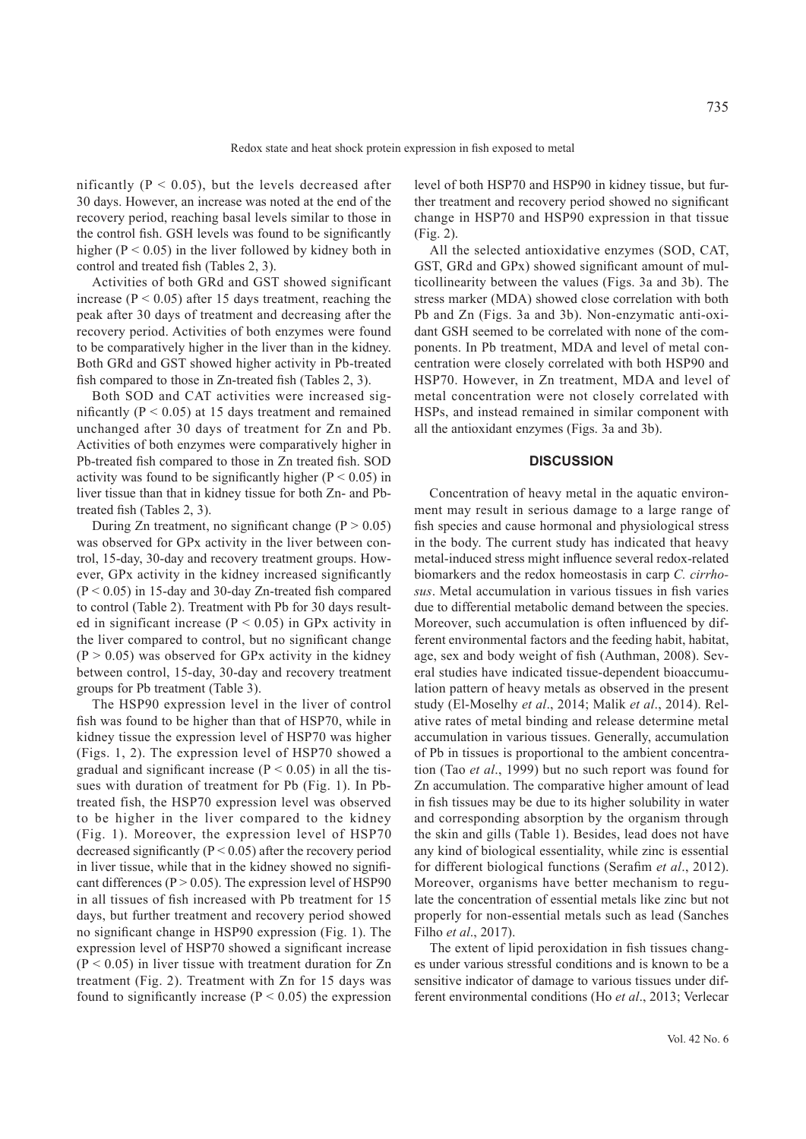Redox state and heat shock protein expression in fish exposed to metal

nificantly ( $P < 0.05$ ), but the levels decreased after 30 days. However, an increase was noted at the end of the recovery period, reaching basal levels similar to those in the control fish. GSH levels was found to be significantly higher ( $P < 0.05$ ) in the liver followed by kidney both in control and treated fish (Tables 2, 3).

Activities of both GRd and GST showed significant increase ( $P < 0.05$ ) after 15 days treatment, reaching the peak after 30 days of treatment and decreasing after the recovery period. Activities of both enzymes were found to be comparatively higher in the liver than in the kidney. Both GRd and GST showed higher activity in Pb-treated fish compared to those in Zn-treated fish (Tables 2, 3).

Both SOD and CAT activities were increased significantly (P < 0.05) at 15 days treatment and remained unchanged after 30 days of treatment for Zn and Pb. Activities of both enzymes were comparatively higher in Pb-treated fish compared to those in Zn treated fish. SOD activity was found to be significantly higher ( $P < 0.05$ ) in liver tissue than that in kidney tissue for both Zn- and Pbtreated fish (Tables 2, 3).

During Zn treatment, no significant change ( $P > 0.05$ ) was observed for GPx activity in the liver between control, 15-day, 30-day and recovery treatment groups. However, GPx activity in the kidney increased significantly  $(P < 0.05)$  in 15-day and 30-day Zn-treated fish compared to control (Table 2). Treatment with Pb for 30 days resulted in significant increase ( $P < 0.05$ ) in GPx activity in the liver compared to control, but no significant change  $(P > 0.05)$  was observed for GPx activity in the kidney between control, 15-day, 30-day and recovery treatment groups for Pb treatment (Table 3).

The HSP90 expression level in the liver of control fish was found to be higher than that of HSP70, while in kidney tissue the expression level of HSP70 was higher (Figs. 1, 2). The expression level of HSP70 showed a gradual and significant increase ( $P < 0.05$ ) in all the tissues with duration of treatment for Pb (Fig. 1). In Pbtreated fish, the HSP70 expression level was observed to be higher in the liver compared to the kidney (Fig. 1). Moreover, the expression level of HSP70 decreased significantly ( $P < 0.05$ ) after the recovery period in liver tissue, while that in the kidney showed no significant differences ( $P > 0.05$ ). The expression level of HSP90 in all tissues of fish increased with Pb treatment for 15 days, but further treatment and recovery period showed no significant change in HSP90 expression (Fig. 1). The expression level of HSP70 showed a significant increase  $(P < 0.05)$  in liver tissue with treatment duration for Zn treatment (Fig. 2). Treatment with Zn for 15 days was found to significantly increase ( $P < 0.05$ ) the expression

level of both HSP70 and HSP90 in kidney tissue, but further treatment and recovery period showed no significant change in HSP70 and HSP90 expression in that tissue (Fig. 2).

All the selected antioxidative enzymes (SOD, CAT, GST, GRd and GPx) showed significant amount of multicollinearity between the values (Figs. 3a and 3b). The stress marker (MDA) showed close correlation with both Pb and Zn (Figs. 3a and 3b). Non-enzymatic anti-oxidant GSH seemed to be correlated with none of the components. In Pb treatment, MDA and level of metal concentration were closely correlated with both HSP90 and HSP70. However, in Zn treatment, MDA and level of metal concentration were not closely correlated with HSPs, and instead remained in similar component with all the antioxidant enzymes (Figs. 3a and 3b).

## **DISCUSSION**

Concentration of heavy metal in the aquatic environment may result in serious damage to a large range of fish species and cause hormonal and physiological stress in the body. The current study has indicated that heavy metal-induced stress might influence several redox-related biomarkers and the redox homeostasis in carp *C. cirrhosus*. Metal accumulation in various tissues in fish varies due to differential metabolic demand between the species. Moreover, such accumulation is often influenced by different environmental factors and the feeding habit, habitat, age, sex and body weight of fish (Authman, 2008). Several studies have indicated tissue-dependent bioaccumulation pattern of heavy metals as observed in the present study (El-Moselhy *et al*., 2014; Malik *et al*., 2014). Relative rates of metal binding and release determine metal accumulation in various tissues. Generally, accumulation of Pb in tissues is proportional to the ambient concentration (Tao *et al*., 1999) but no such report was found for Zn accumulation. The comparative higher amount of lead in fish tissues may be due to its higher solubility in water and corresponding absorption by the organism through the skin and gills (Table 1). Besides, lead does not have any kind of biological essentiality, while zinc is essential for different biological functions (Serafim *et al*., 2012). Moreover, organisms have better mechanism to regulate the concentration of essential metals like zinc but not properly for non-essential metals such as lead (Sanches Filho *et al*., 2017).

The extent of lipid peroxidation in fish tissues changes under various stressful conditions and is known to be a sensitive indicator of damage to various tissues under different environmental conditions (Ho *et al*., 2013; Verlecar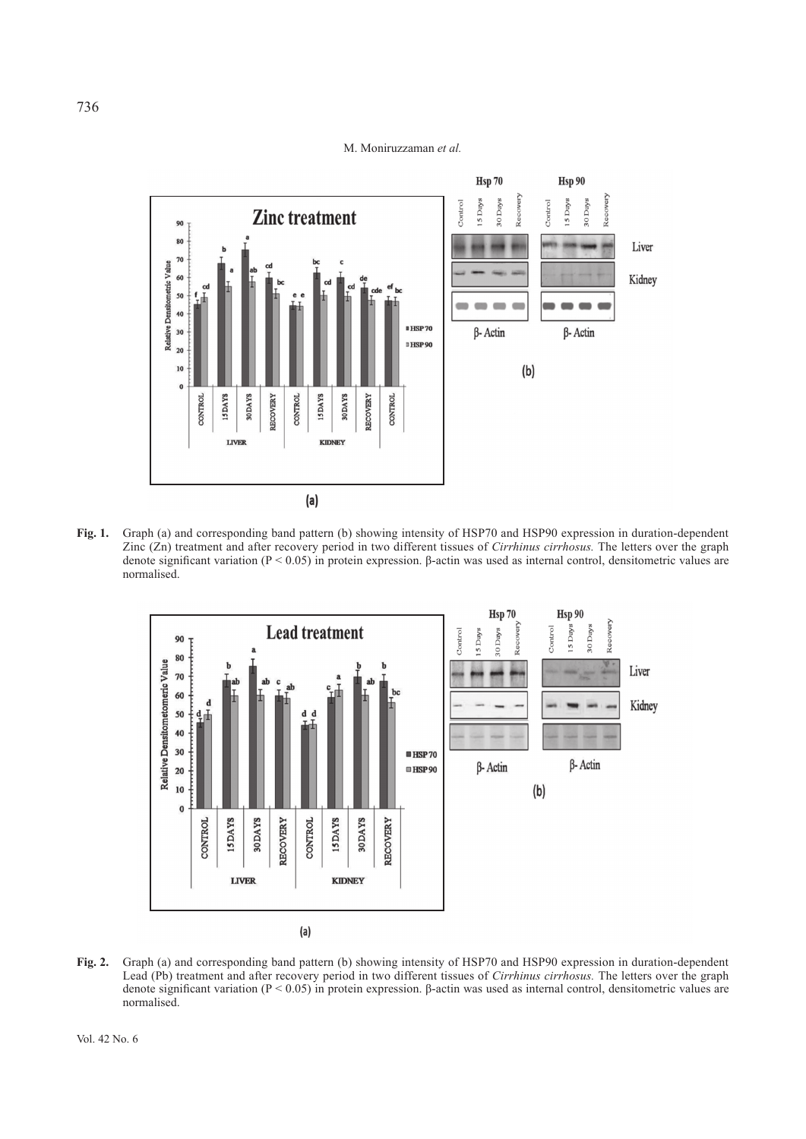

**Fig. 1.** Graph (a) and corresponding band pattern (b) showing intensity of HSP70 and HSP90 expression in duration-dependent Zinc (Zn) treatment and after recovery period in two different tissues of *Cirrhinus cirrhosus.* The letters over the graph denote significant variation (P < 0.05) in protein expression. β-actin was used as internal control, densitometric values are normalised.



**Fig. 2.** Graph (a) and corresponding band pattern (b) showing intensity of HSP70 and HSP90 expression in duration-dependent Lead (Pb) treatment and after recovery period in two different tissues of *Cirrhinus cirrhosus.* The letters over the graph denote significant variation (P < 0.05) in protein expression. β-actin was used as internal control, densitometric values are normalised.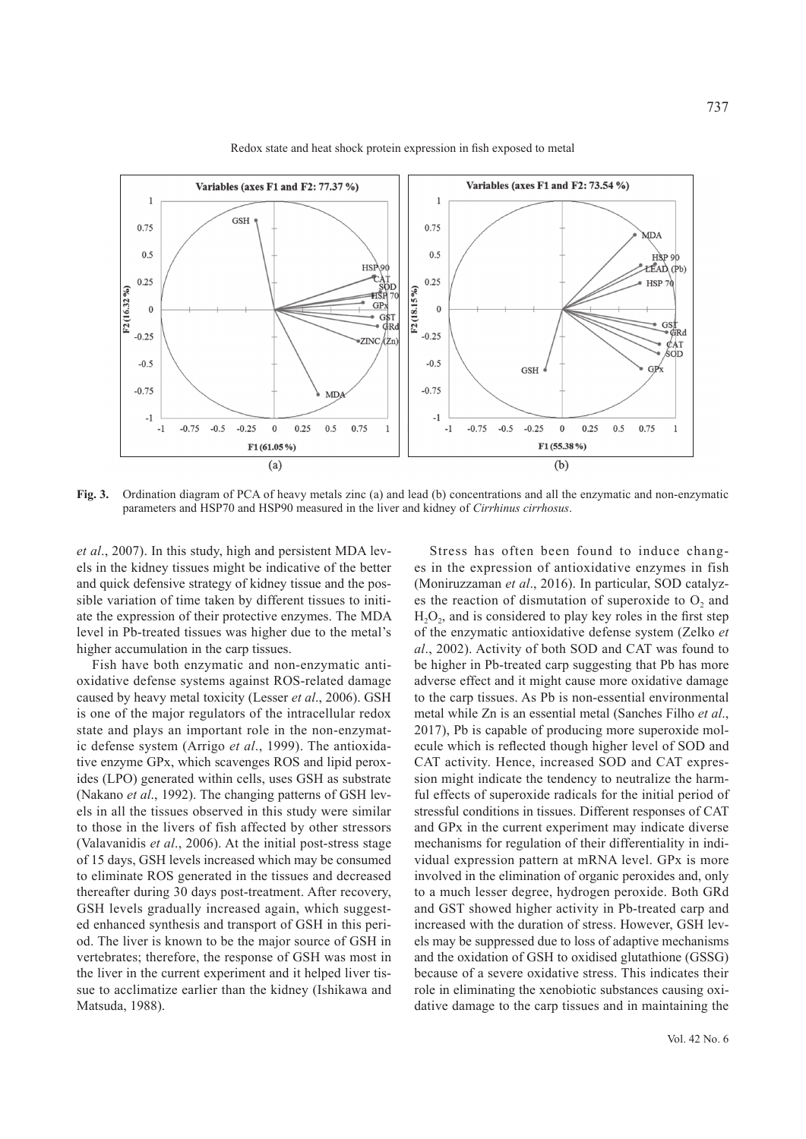

Redox state and heat shock protein expression in fish exposed to metal

**Fig. 3.** Ordination diagram of PCA of heavy metals zinc (a) and lead (b) concentrations and all the enzymatic and non-enzymatic parameters and HSP70 and HSP90 measured in the liver and kidney of *Cirrhinus cirrhosus*.

*et al*., 2007). In this study, high and persistent MDA levels in the kidney tissues might be indicative of the better and quick defensive strategy of kidney tissue and the possible variation of time taken by different tissues to initiate the expression of their protective enzymes. The MDA level in Pb-treated tissues was higher due to the metal's higher accumulation in the carp tissues.

Fish have both enzymatic and non-enzymatic antioxidative defense systems against ROS-related damage caused by heavy metal toxicity (Lesser *et al*., 2006). GSH is one of the major regulators of the intracellular redox state and plays an important role in the non-enzymatic defense system (Arrigo *et al*., 1999). The antioxidative enzyme GPx, which scavenges ROS and lipid peroxides (LPO) generated within cells, uses GSH as substrate (Nakano *et al*., 1992). The changing patterns of GSH levels in all the tissues observed in this study were similar to those in the livers of fish affected by other stressors (Valavanidis *et al*., 2006). At the initial post-stress stage of 15 days, GSH levels increased which may be consumed to eliminate ROS generated in the tissues and decreased thereafter during 30 days post-treatment. After recovery, GSH levels gradually increased again, which suggested enhanced synthesis and transport of GSH in this period. The liver is known to be the major source of GSH in vertebrates; therefore, the response of GSH was most in the liver in the current experiment and it helped liver tissue to acclimatize earlier than the kidney (Ishikawa and Matsuda, 1988).

Stress has often been found to induce changes in the expression of antioxidative enzymes in fish (Moniruzzaman *et al*., 2016). In particular, SOD catalyzes the reaction of dismutation of superoxide to  $O<sub>2</sub>$  and  $H<sub>2</sub>O<sub>2</sub>$ , and is considered to play key roles in the first step of the enzymatic antioxidative defense system (Zelko *et al*., 2002). Activity of both SOD and CAT was found to be higher in Pb-treated carp suggesting that Pb has more adverse effect and it might cause more oxidative damage to the carp tissues. As Pb is non-essential environmental metal while Zn is an essential metal (Sanches Filho *et al*., 2017), Pb is capable of producing more superoxide molecule which is reflected though higher level of SOD and CAT activity. Hence, increased SOD and CAT expression might indicate the tendency to neutralize the harmful effects of superoxide radicals for the initial period of stressful conditions in tissues. Different responses of CAT and GPx in the current experiment may indicate diverse mechanisms for regulation of their differentiality in individual expression pattern at mRNA level. GPx is more involved in the elimination of organic peroxides and, only to a much lesser degree, hydrogen peroxide. Both GRd and GST showed higher activity in Pb-treated carp and increased with the duration of stress. However, GSH levels may be suppressed due to loss of adaptive mechanisms and the oxidation of GSH to oxidised glutathione (GSSG) because of a severe oxidative stress. This indicates their role in eliminating the xenobiotic substances causing oxidative damage to the carp tissues and in maintaining the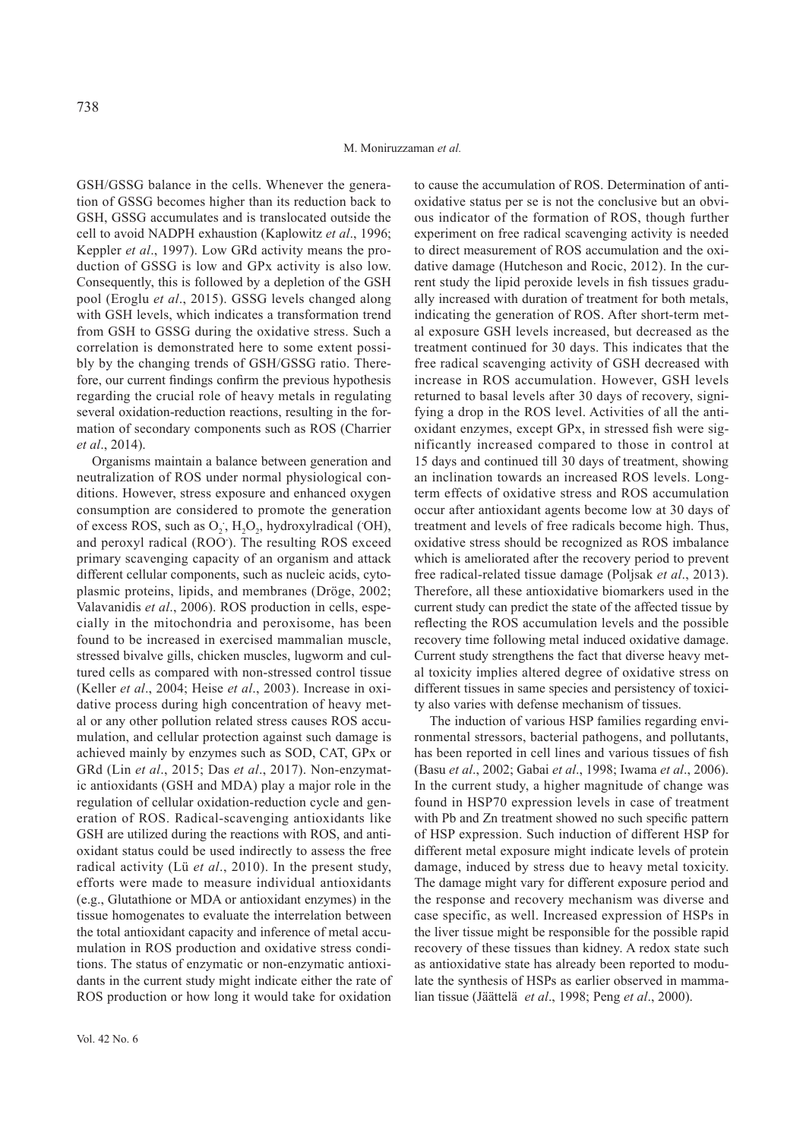GSH/GSSG balance in the cells. Whenever the generation of GSSG becomes higher than its reduction back to GSH, GSSG accumulates and is translocated outside the cell to avoid NADPH exhaustion (Kaplowitz *et al*., 1996; Keppler *et al*., 1997). Low GRd activity means the production of GSSG is low and GPx activity is also low. Consequently, this is followed by a depletion of the GSH pool (Eroglu *et al*., 2015). GSSG levels changed along with GSH levels, which indicates a transformation trend from GSH to GSSG during the oxidative stress. Such a correlation is demonstrated here to some extent possibly by the changing trends of GSH/GSSG ratio. Therefore, our current findings confirm the previous hypothesis regarding the crucial role of heavy metals in regulating several oxidation-reduction reactions, resulting in the formation of secondary components such as ROS (Charrier *et al*., 2014).

Organisms maintain a balance between generation and neutralization of ROS under normal physiological conditions. However, stress exposure and enhanced oxygen consumption are considered to promote the generation of excess ROS, such as  $O_2$ ,  $H_2O_2$ , hydroxylradical (OH), and peroxyl radical (ROO**.** ). The resulting ROS exceed primary scavenging capacity of an organism and attack different cellular components, such as nucleic acids, cytoplasmic proteins, lipids, and membranes (Dröge, 2002; Valavanidis *et al*., 2006). ROS production in cells, especially in the mitochondria and peroxisome, has been found to be increased in exercised mammalian muscle, stressed bivalve gills, chicken muscles, lugworm and cultured cells as compared with non-stressed control tissue (Keller *et al*., 2004; Heise *et al*., 2003). Increase in oxidative process during high concentration of heavy metal or any other pollution related stress causes ROS accumulation, and cellular protection against such damage is achieved mainly by enzymes such as SOD, CAT, GPx or GRd (Lin *et al*., 2015; Das *et al*., 2017). Non-enzymatic antioxidants (GSH and MDA) play a major role in the regulation of cellular oxidation-reduction cycle and generation of ROS. Radical-scavenging antioxidants like GSH are utilized during the reactions with ROS, and antioxidant status could be used indirectly to assess the free radical activity (Lü *et al*., 2010). In the present study, efforts were made to measure individual antioxidants (e.g., Glutathione or MDA or antioxidant enzymes) in the tissue homogenates to evaluate the interrelation between the total antioxidant capacity and inference of metal accumulation in ROS production and oxidative stress conditions. The status of enzymatic or non-enzymatic antioxidants in the current study might indicate either the rate of ROS production or how long it would take for oxidation

to cause the accumulation of ROS. Determination of antioxidative status per se is not the conclusive but an obvious indicator of the formation of ROS, though further experiment on free radical scavenging activity is needed to direct measurement of ROS accumulation and the oxidative damage (Hutcheson and Rocic, 2012). In the current study the lipid peroxide levels in fish tissues gradually increased with duration of treatment for both metals, indicating the generation of ROS. After short-term metal exposure GSH levels increased, but decreased as the treatment continued for 30 days. This indicates that the free radical scavenging activity of GSH decreased with increase in ROS accumulation. However, GSH levels returned to basal levels after 30 days of recovery, signifying a drop in the ROS level. Activities of all the antioxidant enzymes, except GPx, in stressed fish were significantly increased compared to those in control at 15 days and continued till 30 days of treatment, showing an inclination towards an increased ROS levels. Longterm effects of oxidative stress and ROS accumulation occur after antioxidant agents become low at 30 days of treatment and levels of free radicals become high. Thus, oxidative stress should be recognized as ROS imbalance which is ameliorated after the recovery period to prevent free radical-related tissue damage (Poljsak *et al*., 2013). Therefore, all these antioxidative biomarkers used in the current study can predict the state of the affected tissue by reflecting the ROS accumulation levels and the possible recovery time following metal induced oxidative damage. Current study strengthens the fact that diverse heavy metal toxicity implies altered degree of oxidative stress on different tissues in same species and persistency of toxicity also varies with defense mechanism of tissues.

The induction of various HSP families regarding environmental stressors, bacterial pathogens, and pollutants, has been reported in cell lines and various tissues of fish (Basu *et al*., 2002; Gabai *et al*., 1998; Iwama *et al*., 2006). In the current study, a higher magnitude of change was found in HSP70 expression levels in case of treatment with Pb and Zn treatment showed no such specific pattern of HSP expression. Such induction of different HSP for different metal exposure might indicate levels of protein damage, induced by stress due to heavy metal toxicity. The damage might vary for different exposure period and the response and recovery mechanism was diverse and case specific, as well. Increased expression of HSPs in the liver tissue might be responsible for the possible rapid recovery of these tissues than kidney. A redox state such as antioxidative state has already been reported to modulate the synthesis of HSPs as earlier observed in mammalian tissue (Jäättelä *et al*., 1998; Peng *et al*., 2000).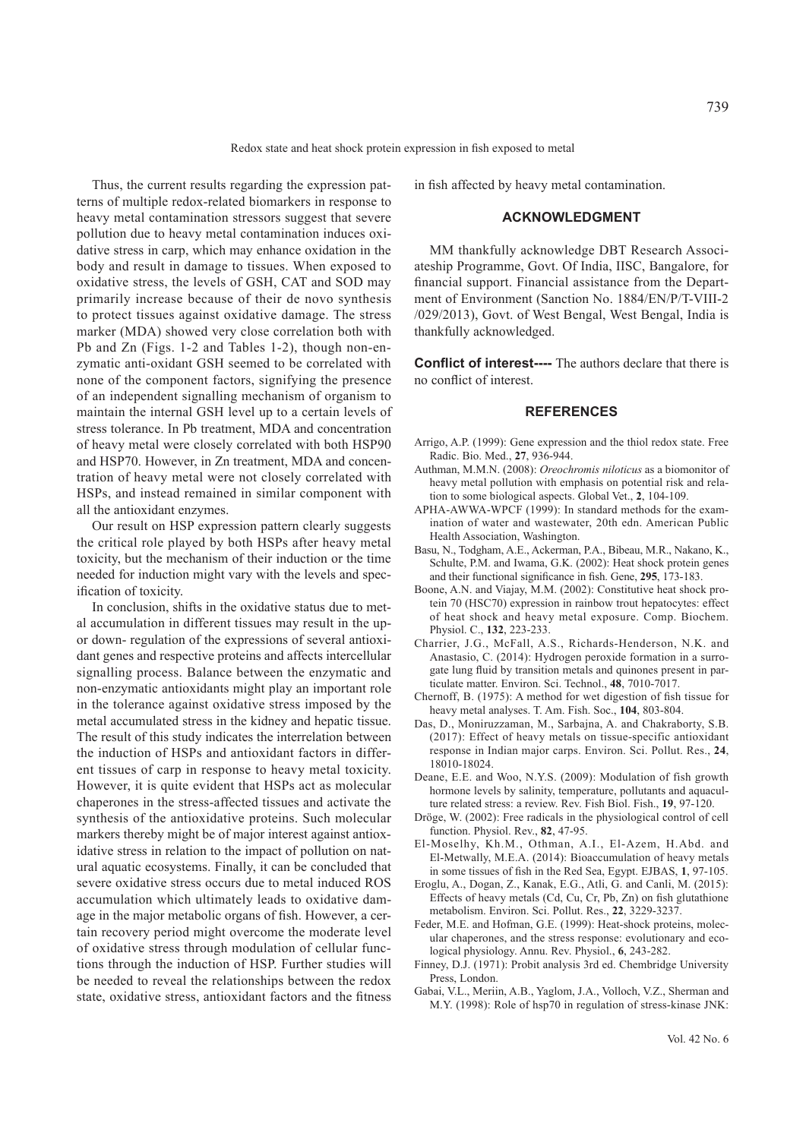Thus, the current results regarding the expression patterns of multiple redox-related biomarkers in response to heavy metal contamination stressors suggest that severe pollution due to heavy metal contamination induces oxidative stress in carp, which may enhance oxidation in the body and result in damage to tissues. When exposed to oxidative stress, the levels of GSH, CAT and SOD may primarily increase because of their de novo synthesis to protect tissues against oxidative damage. The stress marker (MDA) showed very close correlation both with Pb and Zn (Figs. 1-2 and Tables 1-2), though non-enzymatic anti-oxidant GSH seemed to be correlated with none of the component factors, signifying the presence of an independent signalling mechanism of organism to maintain the internal GSH level up to a certain levels of stress tolerance. In Pb treatment, MDA and concentration of heavy metal were closely correlated with both HSP90 and HSP70. However, in Zn treatment, MDA and concentration of heavy metal were not closely correlated with HSPs, and instead remained in similar component with all the antioxidant enzymes.

Our result on HSP expression pattern clearly suggests the critical role played by both HSPs after heavy metal toxicity, but the mechanism of their induction or the time needed for induction might vary with the levels and specification of toxicity.

In conclusion, shifts in the oxidative status due to metal accumulation in different tissues may result in the upor down- regulation of the expressions of several antioxidant genes and respective proteins and affects intercellular signalling process. Balance between the enzymatic and non-enzymatic antioxidants might play an important role in the tolerance against oxidative stress imposed by the metal accumulated stress in the kidney and hepatic tissue. The result of this study indicates the interrelation between the induction of HSPs and antioxidant factors in different tissues of carp in response to heavy metal toxicity. However, it is quite evident that HSPs act as molecular chaperones in the stress-affected tissues and activate the synthesis of the antioxidative proteins. Such molecular markers thereby might be of major interest against antioxidative stress in relation to the impact of pollution on natural aquatic ecosystems. Finally, it can be concluded that severe oxidative stress occurs due to metal induced ROS accumulation which ultimately leads to oxidative damage in the major metabolic organs of fish. However, a certain recovery period might overcome the moderate level of oxidative stress through modulation of cellular functions through the induction of HSP. Further studies will be needed to reveal the relationships between the redox state, oxidative stress, antioxidant factors and the fitness

in fish affected by heavy metal contamination.

# **ACKNOWLEDGMENT**

MM thankfully acknowledge DBT Research Associateship Programme, Govt. Of India, IISC, Bangalore, for financial support. Financial assistance from the Department of Environment (Sanction No. 1884/EN/P/T-VIII-2 /029/2013), Govt. of West Bengal, West Bengal, India is thankfully acknowledged.

**Conflict of interest----** The authors declare that there is no conflict of interest.

## **REFERENCES**

- Arrigo, A.P. (1999): Gene expression and the thiol redox state. Free Radic. Bio. Med., **27**, 936-944.
- Authman, M.M.N. (2008): *Oreochromis niloticus* as a biomonitor of heavy metal pollution with emphasis on potential risk and relation to some biological aspects. Global Vet., **2**, 104-109.
- APHA-AWWA-WPCF (1999): In standard methods for the examination of water and wastewater, 20th edn. American Public Health Association, Washington.
- Basu, N., Todgham, A.E., Ackerman, P.A., Bibeau, M.R., Nakano, K., Schulte, P.M. and Iwama, G.K. (2002): Heat shock protein genes and their functional significance in fish. Gene, **295**, 173-183.
- Boone, A.N. and Viajay, M.M. (2002): Constitutive heat shock protein 70 (HSC70) expression in rainbow trout hepatocytes: effect of heat shock and heavy metal exposure. Comp. Biochem. Physiol. C., **132**, 223-233.
- Charrier, J.G., McFall, A.S., Richards-Henderson, N.K. and Anastasio, C. (2014): Hydrogen peroxide formation in a surrogate lung fluid by transition metals and quinones present in particulate matter. Environ. Sci. Technol., **48**, 7010-7017.
- Chernoff, B. (1975): A method for wet digestion of fish tissue for heavy metal analyses. T. Am. Fish. Soc., **104**, 803-804.
- Das, D., Moniruzzaman, M., Sarbajna, A. and Chakraborty, S.B. (2017): Effect of heavy metals on tissue-specific antioxidant response in Indian major carps. Environ. Sci. Pollut. Res., **24**, 18010-18024.
- Deane, E.E. and Woo, N.Y.S. (2009): Modulation of fish growth hormone levels by salinity, temperature, pollutants and aquaculture related stress: a review. Rev. Fish Biol. Fish., **19**, 97-120.
- Dröge, W. (2002): Free radicals in the physiological control of cell function. Physiol. Rev., **82**, 47-95.
- El-Moselhy, Kh.M., Othman, A.I., El-Azem, H.Abd. and El-Metwally, M.E.A. (2014): Bioaccumulation of heavy metals in some tissues of fish in the Red Sea, Egypt. EJBAS, **1**, 97-105.
- Eroglu, A., Dogan, Z., Kanak, E.G., Atli, G. and Canli, M. (2015): Effects of heavy metals (Cd, Cu, Cr, Pb, Zn) on fish glutathione metabolism. Environ. Sci. Pollut. Res., **22**, 3229-3237.
- Feder, M.E. and Hofman, G.E. (1999): Heat-shock proteins, molecular chaperones, and the stress response: evolutionary and ecological physiology. Annu. Rev. Physiol., **6**, 243-282.
- Finney, D.J. (1971): Probit analysis 3rd ed. Chembridge University Press, London.
- Gabai, V.L., Meriin, A.B., Yaglom, J.A., Volloch, V.Z., Sherman and M.Y. (1998): Role of hsp70 in regulation of stress-kinase JNK: